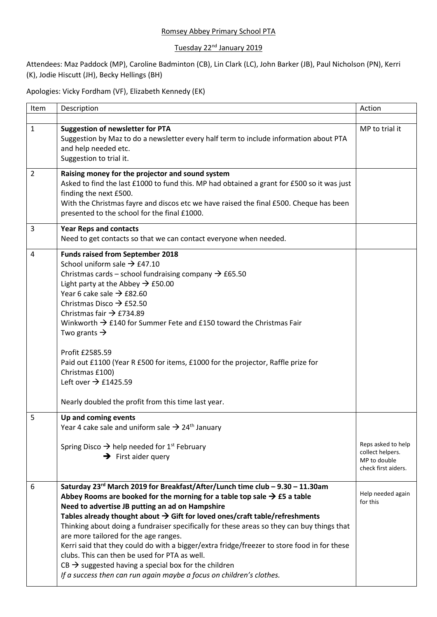## Romsey Abbey Primary School PTA

## Tuesday 22<sup>nd</sup> January 2019

Attendees: Maz Paddock (MP), Caroline Badminton (CB), Lin Clark (LC), John Barker (JB), Paul Nicholson (PN), Kerri (K), Jodie Hiscutt (JH), Becky Hellings (BH)

Apologies: Vicky Fordham (VF), Elizabeth Kennedy (EK)

| Item           | Description                                                                                                                                                                                                                                                                                                                                                                                                                                                                                                                                                                                                                                                                                                                                            | Action                                                                        |
|----------------|--------------------------------------------------------------------------------------------------------------------------------------------------------------------------------------------------------------------------------------------------------------------------------------------------------------------------------------------------------------------------------------------------------------------------------------------------------------------------------------------------------------------------------------------------------------------------------------------------------------------------------------------------------------------------------------------------------------------------------------------------------|-------------------------------------------------------------------------------|
| $\mathbf{1}$   | <b>Suggestion of newsletter for PTA</b><br>Suggestion by Maz to do a newsletter every half term to include information about PTA<br>and help needed etc.<br>Suggestion to trial it.                                                                                                                                                                                                                                                                                                                                                                                                                                                                                                                                                                    | MP to trial it                                                                |
| $\overline{2}$ | Raising money for the projector and sound system<br>Asked to find the last £1000 to fund this. MP had obtained a grant for £500 so it was just<br>finding the next £500.<br>With the Christmas fayre and discos etc we have raised the final £500. Cheque has been<br>presented to the school for the final £1000.                                                                                                                                                                                                                                                                                                                                                                                                                                     |                                                                               |
| 3              | <b>Year Reps and contacts</b><br>Need to get contacts so that we can contact everyone when needed.                                                                                                                                                                                                                                                                                                                                                                                                                                                                                                                                                                                                                                                     |                                                                               |
| 4              | <b>Funds raised from September 2018</b><br>School uniform sale $\rightarrow$ £47.10<br>Christmas cards – school fundraising company $\rightarrow$ £65.50<br>Light party at the Abbey $\rightarrow$ £50.00<br>Year 6 cake sale $\rightarrow$ £82.60<br>Christmas Disco $\rightarrow$ £52.50<br>Christmas fair $\rightarrow$ £734.89<br>Winkworth $\rightarrow$ £140 for Summer Fete and £150 toward the Christmas Fair<br>Two grants $\rightarrow$<br>Profit £2585.59<br>Paid out £1100 (Year R £500 for items, £1000 for the projector, Raffle prize for<br>Christmas £100)<br>Left over $\rightarrow$ £1425.59<br>Nearly doubled the profit from this time last year.                                                                                 |                                                                               |
| 5              | Up and coming events<br>Year 4 cake sale and uniform sale $\rightarrow$ 24 <sup>th</sup> January<br>Spring Disco $\rightarrow$ help needed for 1 <sup>st</sup> February<br>$\rightarrow$ First aider query                                                                                                                                                                                                                                                                                                                                                                                                                                                                                                                                             | Reps asked to help<br>collect helpers.<br>MP to double<br>check first aiders. |
| 6              | Saturday 23rd March 2019 for Breakfast/After/Lunch time club - 9.30 - 11.30am<br>Abbey Rooms are booked for the morning for a table top sale $\rightarrow$ £5 a table<br>Need to advertise JB putting an ad on Hampshire<br>Tables already thought about $\rightarrow$ Gift for loved ones/craft table/refreshments<br>Thinking about doing a fundraiser specifically for these areas so they can buy things that<br>are more tailored for the age ranges.<br>Kerri said that they could do with a bigger/extra fridge/freezer to store food in for these<br>clubs. This can then be used for PTA as well.<br>$CB \rightarrow$ suggested having a special box for the children<br>If a success then can run again maybe a focus on children's clothes. | Help needed again<br>for this                                                 |